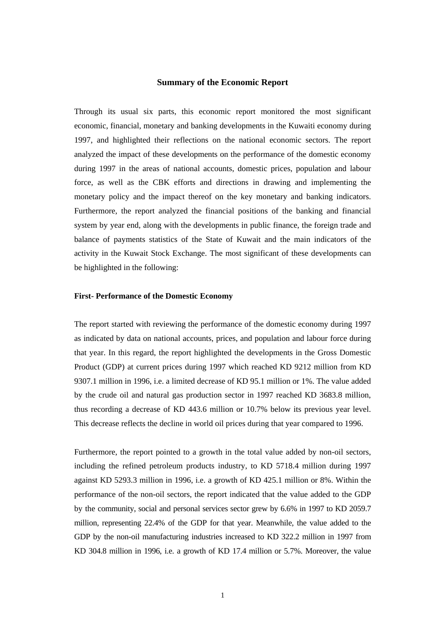### **Summary of the Economic Report**

Through its usual six parts, this economic report monitored the most significant economic, financial, monetary and banking developments in the Kuwaiti economy during 1997, and highlighted their reflections on the national economic sectors. The report analyzed the impact of these developments on the performance of the domestic economy during 1997 in the areas of national accounts, domestic prices, population and labour force, as well as the CBK efforts and directions in drawing and implementing the monetary policy and the impact thereof on the key monetary and banking indicators. Furthermore, the report analyzed the financial positions of the banking and financial system by year end, along with the developments in public finance, the foreign trade and balance of payments statistics of the State of Kuwait and the main indicators of the activity in the Kuwait Stock Exchange. The most significant of these developments can be highlighted in the following:

#### **First- Performance of the Domestic Economy**

The report started with reviewing the performance of the domestic economy during 1997 as indicated by data on national accounts, prices, and population and labour force during that year. In this regard, the report highlighted the developments in the Gross Domestic Product (GDP) at current prices during 1997 which reached KD 9212 million from KD 9307.1 million in 1996, i.e. a limited decrease of KD 95.1 million or 1%. The value added by the crude oil and natural gas production sector in 1997 reached KD 3683.8 million, thus recording a decrease of KD 443.6 million or 10.7% below its previous year level. This decrease reflects the decline in world oil prices during that year compared to 1996.

Furthermore, the report pointed to a growth in the total value added by non-oil sectors, including the refined petroleum products industry, to KD 5718.4 million during 1997 against KD 5293.3 million in 1996, i.e. a growth of KD 425.1 million or 8%. Within the performance of the non-oil sectors, the report indicated that the value added to the GDP by the community, social and personal services sector grew by 6.6% in 1997 to KD 2059.7 million, representing 22.4% of the GDP for that year. Meanwhile, the value added to the GDP by the non-oil manufacturing industries increased to KD 322.2 million in 1997 from KD 304.8 million in 1996, i.e. a growth of KD 17.4 million or 5.7%. Moreover, the value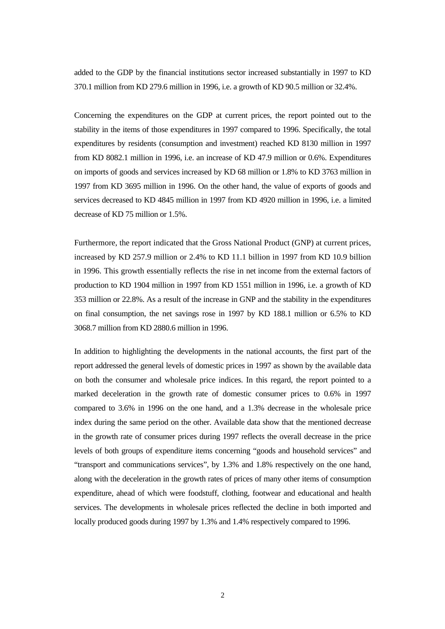added to the GDP by the financial institutions sector increased substantially in 1997 to KD 370.1 million from KD 279.6 million in 1996, i.e. a growth of KD 90.5 million or 32.4%.

Concerning the expenditures on the GDP at current prices, the report pointed out to the stability in the items of those expenditures in 1997 compared to 1996. Specifically, the total expenditures by residents (consumption and investment) reached KD 8130 million in 1997 from KD 8082.1 million in 1996, i.e. an increase of KD 47.9 million or 0.6%. Expenditures on imports of goods and services increased by KD 68 million or 1.8% to KD 3763 million in 1997 from KD 3695 million in 1996. On the other hand, the value of exports of goods and services decreased to KD 4845 million in 1997 from KD 4920 million in 1996, i.e. a limited decrease of KD 75 million or 1.5%.

Furthermore, the report indicated that the Gross National Product (GNP) at current prices, increased by KD 257.9 million or 2.4% to KD 11.1 billion in 1997 from KD 10.9 billion in 1996. This growth essentially reflects the rise in net income from the external factors of production to KD 1904 million in 1997 from KD 1551 million in 1996, i.e. a growth of KD 353 million or 22.8%. As a result of the increase in GNP and the stability in the expenditures on final consumption, the net savings rose in 1997 by KD 188.1 million or 6.5% to KD 3068.7 million from KD 2880.6 million in 1996.

In addition to highlighting the developments in the national accounts, the first part of the report addressed the general levels of domestic prices in 1997 as shown by the available data on both the consumer and wholesale price indices. In this regard, the report pointed to a marked deceleration in the growth rate of domestic consumer prices to 0.6% in 1997 compared to 3.6% in 1996 on the one hand, and a 1.3% decrease in the wholesale price index during the same period on the other. Available data show that the mentioned decrease in the growth rate of consumer prices during 1997 reflects the overall decrease in the price levels of both groups of expenditure items concerning "goods and household services" and "transport and communications services", by 1.3% and 1.8% respectively on the one hand, along with the deceleration in the growth rates of prices of many other items of consumption expenditure, ahead of which were foodstuff, clothing, footwear and educational and health services. The developments in wholesale prices reflected the decline in both imported and locally produced goods during 1997 by 1.3% and 1.4% respectively compared to 1996.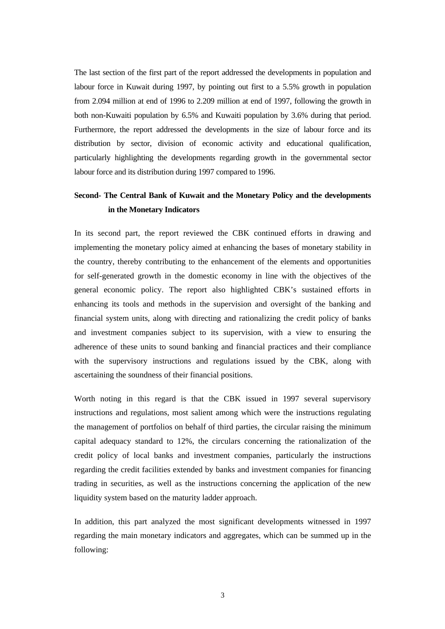The last section of the first part of the report addressed the developments in population and labour force in Kuwait during 1997, by pointing out first to a 5.5% growth in population from 2.094 million at end of 1996 to 2.209 million at end of 1997, following the growth in both non-Kuwaiti population by 6.5% and Kuwaiti population by 3.6% during that period. Furthermore, the report addressed the developments in the size of labour force and its distribution by sector, division of economic activity and educational qualification, particularly highlighting the developments regarding growth in the governmental sector labour force and its distribution during 1997 compared to 1996.

# **Second- The Central Bank of Kuwait and the Monetary Policy and the developments in the Monetary Indicators**

In its second part, the report reviewed the CBK continued efforts in drawing and implementing the monetary policy aimed at enhancing the bases of monetary stability in the country, thereby contributing to the enhancement of the elements and opportunities for self-generated growth in the domestic economy in line with the objectives of the general economic policy. The report also highlighted CBK's sustained efforts in enhancing its tools and methods in the supervision and oversight of the banking and financial system units, along with directing and rationalizing the credit policy of banks and investment companies subject to its supervision, with a view to ensuring the adherence of these units to sound banking and financial practices and their compliance with the supervisory instructions and regulations issued by the CBK, along with ascertaining the soundness of their financial positions.

Worth noting in this regard is that the CBK issued in 1997 several supervisory instructions and regulations, most salient among which were the instructions regulating the management of portfolios on behalf of third parties, the circular raising the minimum capital adequacy standard to 12%, the circulars concerning the rationalization of the credit policy of local banks and investment companies, particularly the instructions regarding the credit facilities extended by banks and investment companies for financing trading in securities, as well as the instructions concerning the application of the new liquidity system based on the maturity ladder approach.

In addition, this part analyzed the most significant developments witnessed in 1997 regarding the main monetary indicators and aggregates, which can be summed up in the following: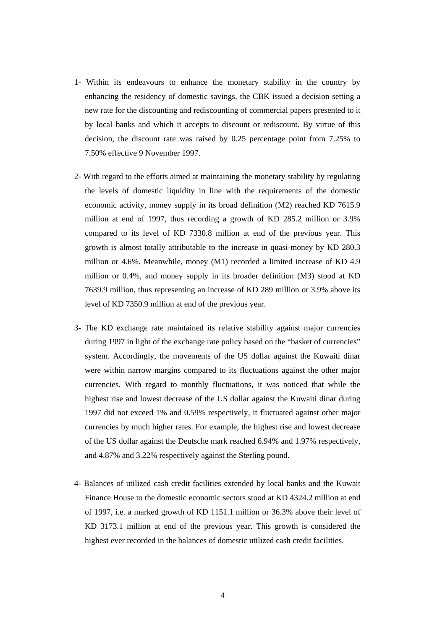- 1- Within its endeavours to enhance the monetary stability in the country by enhancing the residency of domestic savings, the CBK issued a decision setting a new rate for the discounting and rediscounting of commercial papers presented to it by local banks and which it accepts to discount or rediscount. By virtue of this decision, the discount rate was raised by 0.25 percentage point from 7.25% to 7.50% effective 9 November 1997.
- 2- With regard to the efforts aimed at maintaining the monetary stability by regulating the levels of domestic liquidity in line with the requirements of the domestic economic activity, money supply in its broad definition (M2) reached KD 7615.9 million at end of 1997, thus recording a growth of KD 285.2 million or 3.9% compared to its level of KD 7330.8 million at end of the previous year. This growth is almost totally attributable to the increase in quasi-money by KD 280.3 million or 4.6%. Meanwhile, money (M1) recorded a limited increase of KD 4.9 million or 0.4%, and money supply in its broader definition (M3) stood at KD 7639.9 million, thus representing an increase of KD 289 million or 3.9% above its level of KD 7350.9 million at end of the previous year.
- 3- The KD exchange rate maintained its relative stability against major currencies during 1997 in light of the exchange rate policy based on the "basket of currencies" system. Accordingly, the movements of the US dollar against the Kuwaiti dinar were within narrow margins compared to its fluctuations against the other major currencies. With regard to monthly fluctuations, it was noticed that while the highest rise and lowest decrease of the US dollar against the Kuwaiti dinar during 1997 did not exceed 1% and 0.59% respectively, it fluctuated against other major currencies by much higher rates. For example, the highest rise and lowest decrease of the US dollar against the Deutsche mark reached 6.94% and 1.97% respectively, and 4.87% and 3.22% respectively against the Sterling pound.
- 4- Balances of utilized cash credit facilities extended by local banks and the Kuwait Finance House to the domestic economic sectors stood at KD 4324.2 million at end of 1997, i.e. a marked growth of KD 1151.1 million or 36.3% above their level of KD 3173.1 million at end of the previous year. This growth is considered the highest ever recorded in the balances of domestic utilized cash credit facilities.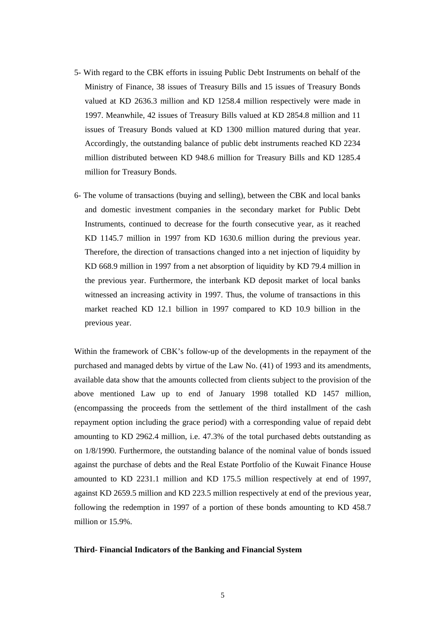- 5- With regard to the CBK efforts in issuing Public Debt Instruments on behalf of the Ministry of Finance, 38 issues of Treasury Bills and 15 issues of Treasury Bonds valued at KD 2636.3 million and KD 1258.4 million respectively were made in 1997. Meanwhile, 42 issues of Treasury Bills valued at KD 2854.8 million and 11 issues of Treasury Bonds valued at KD 1300 million matured during that year. Accordingly, the outstanding balance of public debt instruments reached KD 2234 million distributed between KD 948.6 million for Treasury Bills and KD 1285.4 million for Treasury Bonds.
- 6- The volume of transactions (buying and selling), between the CBK and local banks and domestic investment companies in the secondary market for Public Debt Instruments, continued to decrease for the fourth consecutive year, as it reached KD 1145.7 million in 1997 from KD 1630.6 million during the previous year. Therefore, the direction of transactions changed into a net injection of liquidity by KD 668.9 million in 1997 from a net absorption of liquidity by KD 79.4 million in the previous year. Furthermore, the interbank KD deposit market of local banks witnessed an increasing activity in 1997. Thus, the volume of transactions in this market reached KD 12.1 billion in 1997 compared to KD 10.9 billion in the previous year.

Within the framework of CBK's follow-up of the developments in the repayment of the purchased and managed debts by virtue of the Law No. (41) of 1993 and its amendments, available data show that the amounts collected from clients subject to the provision of the above mentioned Law up to end of January 1998 totalled KD 1457 million, (encompassing the proceeds from the settlement of the third installment of the cash repayment option including the grace period) with a corresponding value of repaid debt amounting to KD 2962.4 million, i.e. 47.3% of the total purchased debts outstanding as on 1/8/1990. Furthermore, the outstanding balance of the nominal value of bonds issued against the purchase of debts and the Real Estate Portfolio of the Kuwait Finance House amounted to KD 2231.1 million and KD 175.5 million respectively at end of 1997, against KD 2659.5 million and KD 223.5 million respectively at end of the previous year, following the redemption in 1997 of a portion of these bonds amounting to KD 458.7 million or 15.9%.

#### **Third- Financial Indicators of the Banking and Financial System**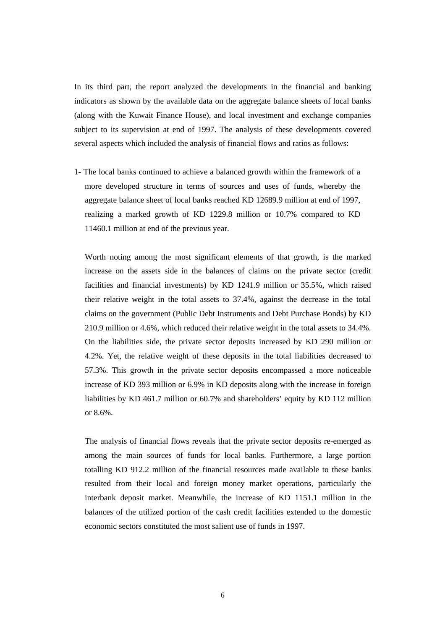In its third part, the report analyzed the developments in the financial and banking indicators as shown by the available data on the aggregate balance sheets of local banks (along with the Kuwait Finance House), and local investment and exchange companies subject to its supervision at end of 1997. The analysis of these developments covered several aspects which included the analysis of financial flows and ratios as follows:

1- The local banks continued to achieve a balanced growth within the framework of a more developed structure in terms of sources and uses of funds, whereby the aggregate balance sheet of local banks reached KD 12689.9 million at end of 1997, realizing a marked growth of KD 1229.8 million or 10.7% compared to KD 11460.1 million at end of the previous year.

Worth noting among the most significant elements of that growth, is the marked increase on the assets side in the balances of claims on the private sector (credit facilities and financial investments) by KD 1241.9 million or 35.5%, which raised their relative weight in the total assets to 37.4%, against the decrease in the total claims on the government (Public Debt Instruments and Debt Purchase Bonds) by KD 210.9 million or 4.6%, which reduced their relative weight in the total assets to 34.4%. On the liabilities side, the private sector deposits increased by KD 290 million or 4.2%. Yet, the relative weight of these deposits in the total liabilities decreased to 57.3%. This growth in the private sector deposits encompassed a more noticeable increase of KD 393 million or 6.9% in KD deposits along with the increase in foreign liabilities by KD 461.7 million or 60.7% and shareholders' equity by KD 112 million or 8.6%.

The analysis of financial flows reveals that the private sector deposits re-emerged as among the main sources of funds for local banks. Furthermore, a large portion totalling KD 912.2 million of the financial resources made available to these banks resulted from their local and foreign money market operations, particularly the interbank deposit market. Meanwhile, the increase of KD 1151.1 million in the balances of the utilized portion of the cash credit facilities extended to the domestic economic sectors constituted the most salient use of funds in 1997.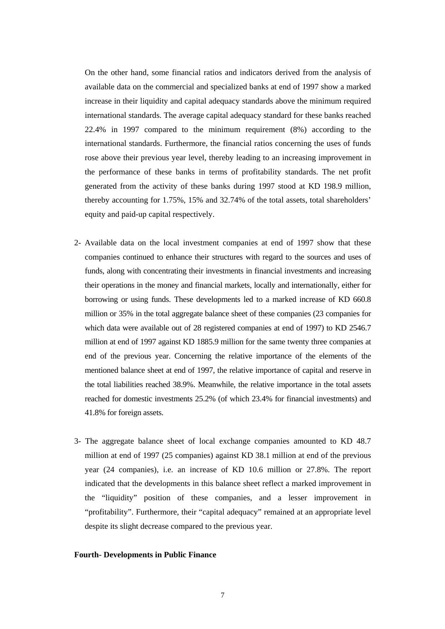On the other hand, some financial ratios and indicators derived from the analysis of available data on the commercial and specialized banks at end of 1997 show a marked increase in their liquidity and capital adequacy standards above the minimum required international standards. The average capital adequacy standard for these banks reached 22.4% in 1997 compared to the minimum requirement (8%) according to the international standards. Furthermore, the financial ratios concerning the uses of funds rose above their previous year level, thereby leading to an increasing improvement in the performance of these banks in terms of profitability standards. The net profit generated from the activity of these banks during 1997 stood at KD 198.9 million, thereby accounting for 1.75%, 15% and 32.74% of the total assets, total shareholders' equity and paid-up capital respectively.

- 2- Available data on the local investment companies at end of 1997 show that these companies continued to enhance their structures with regard to the sources and uses of funds, along with concentrating their investments in financial investments and increasing their operations in the money and financial markets, locally and internationally, either for borrowing or using funds. These developments led to a marked increase of KD 660.8 million or 35% in the total aggregate balance sheet of these companies (23 companies for which data were available out of 28 registered companies at end of 1997) to KD 2546.7 million at end of 1997 against KD 1885.9 million for the same twenty three companies at end of the previous year. Concerning the relative importance of the elements of the mentioned balance sheet at end of 1997, the relative importance of capital and reserve in the total liabilities reached 38.9%. Meanwhile, the relative importance in the total assets reached for domestic investments 25.2% (of which 23.4% for financial investments) and 41.8% for foreign assets.
- 3- The aggregate balance sheet of local exchange companies amounted to KD 48.7 million at end of 1997 (25 companies) against KD 38.1 million at end of the previous year (24 companies), i.e. an increase of KD 10.6 million or 27.8%. The report indicated that the developments in this balance sheet reflect a marked improvement in the "liquidity" position of these companies, and a lesser improvement in "profitability". Furthermore, their "capital adequacy" remained at an appropriate level despite its slight decrease compared to the previous year.

### **Fourth- Developments in Public Finance**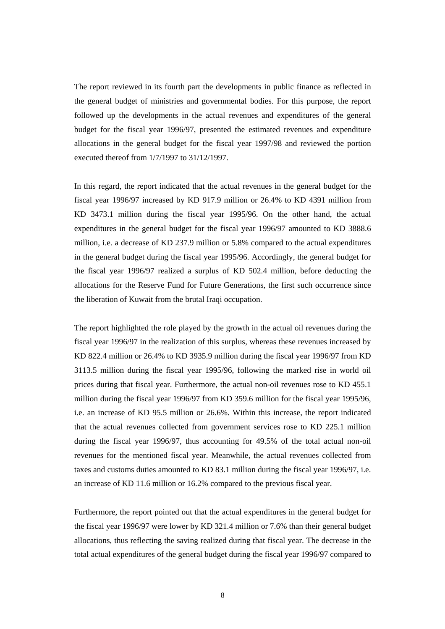The report reviewed in its fourth part the developments in public finance as reflected in the general budget of ministries and governmental bodies. For this purpose, the report followed up the developments in the actual revenues and expenditures of the general budget for the fiscal year 1996/97, presented the estimated revenues and expenditure allocations in the general budget for the fiscal year 1997/98 and reviewed the portion executed thereof from 1/7/1997 to 31/12/1997.

In this regard, the report indicated that the actual revenues in the general budget for the fiscal year 1996/97 increased by KD 917.9 million or 26.4% to KD 4391 million from KD 3473.1 million during the fiscal year 1995/96. On the other hand, the actual expenditures in the general budget for the fiscal year 1996/97 amounted to KD 3888.6 million, i.e. a decrease of KD 237.9 million or 5.8% compared to the actual expenditures in the general budget during the fiscal year 1995/96. Accordingly, the general budget for the fiscal year 1996/97 realized a surplus of KD 502.4 million, before deducting the allocations for the Reserve Fund for Future Generations, the first such occurrence since the liberation of Kuwait from the brutal Iraqi occupation.

The report highlighted the role played by the growth in the actual oil revenues during the fiscal year 1996/97 in the realization of this surplus, whereas these revenues increased by KD 822.4 million or 26.4% to KD 3935.9 million during the fiscal year 1996/97 from KD 3113.5 million during the fiscal year 1995/96, following the marked rise in world oil prices during that fiscal year. Furthermore, the actual non-oil revenues rose to KD 455.1 million during the fiscal year 1996/97 from KD 359.6 million for the fiscal year 1995/96, i.e. an increase of KD 95.5 million or 26.6%. Within this increase, the report indicated that the actual revenues collected from government services rose to KD 225.1 million during the fiscal year 1996/97, thus accounting for 49.5% of the total actual non-oil revenues for the mentioned fiscal year. Meanwhile, the actual revenues collected from taxes and customs duties amounted to KD 83.1 million during the fiscal year 1996/97, i.e. an increase of KD 11.6 million or 16.2% compared to the previous fiscal year.

Furthermore, the report pointed out that the actual expenditures in the general budget for the fiscal year 1996/97 were lower by KD 321.4 million or 7.6% than their general budget allocations, thus reflecting the saving realized during that fiscal year. The decrease in the total actual expenditures of the general budget during the fiscal year 1996/97 compared to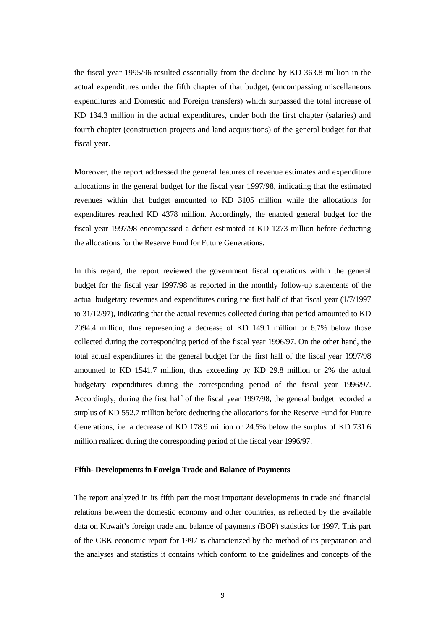the fiscal year 1995/96 resulted essentially from the decline by KD 363.8 million in the actual expenditures under the fifth chapter of that budget, (encompassing miscellaneous expenditures and Domestic and Foreign transfers) which surpassed the total increase of KD 134.3 million in the actual expenditures, under both the first chapter (salaries) and fourth chapter (construction projects and land acquisitions) of the general budget for that fiscal year.

Moreover, the report addressed the general features of revenue estimates and expenditure allocations in the general budget for the fiscal year 1997/98, indicating that the estimated revenues within that budget amounted to KD 3105 million while the allocations for expenditures reached KD 4378 million. Accordingly, the enacted general budget for the fiscal year 1997/98 encompassed a deficit estimated at KD 1273 million before deducting the allocations for the Reserve Fund for Future Generations.

In this regard, the report reviewed the government fiscal operations within the general budget for the fiscal year 1997/98 as reported in the monthly follow-up statements of the actual budgetary revenues and expenditures during the first half of that fiscal year (1/7/1997 to 31/12/97), indicating that the actual revenues collected during that period amounted to KD 2094.4 million, thus representing a decrease of KD 149.1 million or 6.7% below those collected during the corresponding period of the fiscal year 1996/97. On the other hand, the total actual expenditures in the general budget for the first half of the fiscal year 1997/98 amounted to KD 1541.7 million, thus exceeding by KD 29.8 million or 2% the actual budgetary expenditures during the corresponding period of the fiscal year 1996/97. Accordingly, during the first half of the fiscal year 1997/98, the general budget recorded a surplus of KD 552.7 million before deducting the allocations for the Reserve Fund for Future Generations, i.e. a decrease of KD 178.9 million or 24.5% below the surplus of KD 731.6 million realized during the corresponding period of the fiscal year 1996/97.

#### **Fifth- Developments in Foreign Trade and Balance of Payments**

The report analyzed in its fifth part the most important developments in trade and financial relations between the domestic economy and other countries, as reflected by the available data on Kuwait's foreign trade and balance of payments (BOP) statistics for 1997. This part of the CBK economic report for 1997 is characterized by the method of its preparation and the analyses and statistics it contains which conform to the guidelines and concepts of the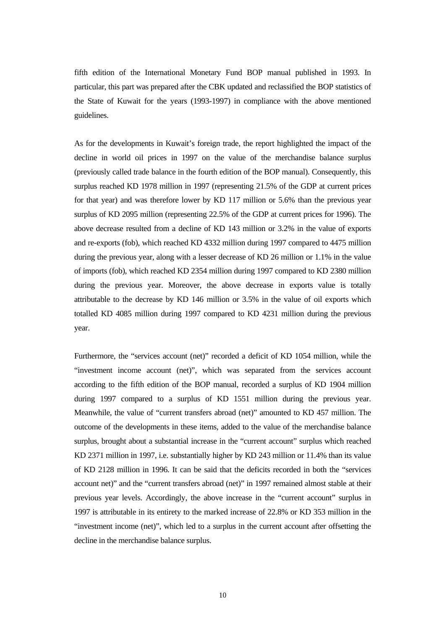fifth edition of the International Monetary Fund BOP manual published in 1993. In particular, this part was prepared after the CBK updated and reclassified the BOP statistics of the State of Kuwait for the years (1993-1997) in compliance with the above mentioned guidelines.

As for the developments in Kuwait's foreign trade, the report highlighted the impact of the decline in world oil prices in 1997 on the value of the merchandise balance surplus (previously called trade balance in the fourth edition of the BOP manual). Consequently, this surplus reached KD 1978 million in 1997 (representing 21.5% of the GDP at current prices for that year) and was therefore lower by KD 117 million or 5.6% than the previous year surplus of KD 2095 million (representing 22.5% of the GDP at current prices for 1996). The above decrease resulted from a decline of KD 143 million or 3.2% in the value of exports and re-exports (fob), which reached KD 4332 million during 1997 compared to 4475 million during the previous year, along with a lesser decrease of KD 26 million or 1.1% in the value of imports (fob), which reached KD 2354 million during 1997 compared to KD 2380 million during the previous year. Moreover, the above decrease in exports value is totally attributable to the decrease by KD 146 million or 3.5% in the value of oil exports which totalled KD 4085 million during 1997 compared to KD 4231 million during the previous year.

Furthermore, the "services account (net)" recorded a deficit of KD 1054 million, while the "investment income account (net)", which was separated from the services account according to the fifth edition of the BOP manual, recorded a surplus of KD 1904 million during 1997 compared to a surplus of KD 1551 million during the previous year. Meanwhile, the value of "current transfers abroad (net)" amounted to KD 457 million. The outcome of the developments in these items, added to the value of the merchandise balance surplus, brought about a substantial increase in the "current account" surplus which reached KD 2371 million in 1997, i.e. substantially higher by KD 243 million or 11.4% than its value of KD 2128 million in 1996. It can be said that the deficits recorded in both the "services account net)" and the "current transfers abroad (net)" in 1997 remained almost stable at their previous year levels. Accordingly, the above increase in the "current account" surplus in 1997 is attributable in its entirety to the marked increase of 22.8% or KD 353 million in the "investment income (net)", which led to a surplus in the current account after offsetting the decline in the merchandise balance surplus.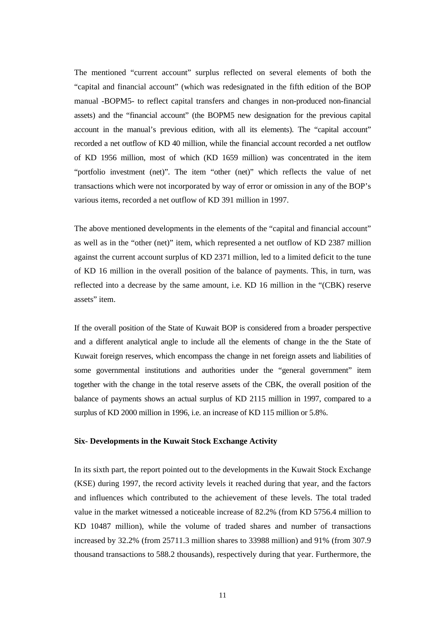The mentioned "current account" surplus reflected on several elements of both the "capital and financial account" (which was redesignated in the fifth edition of the BOP manual -BOPM5- to reflect capital transfers and changes in non-produced non-financial assets) and the "financial account" (the BOPM5 new designation for the previous capital account in the manual's previous edition, with all its elements). The "capital account" recorded a net outflow of KD 40 million, while the financial account recorded a net outflow of KD 1956 million, most of which (KD 1659 million) was concentrated in the item "portfolio investment (net)". The item "other (net)" which reflects the value of net transactions which were not incorporated by way of error or omission in any of the BOP's various items, recorded a net outflow of KD 391 million in 1997.

The above mentioned developments in the elements of the "capital and financial account" as well as in the "other (net)" item, which represented a net outflow of KD 2387 million against the current account surplus of KD 2371 million, led to a limited deficit to the tune of KD 16 million in the overall position of the balance of payments. This, in turn, was reflected into a decrease by the same amount, i.e. KD 16 million in the "(CBK) reserve assets" item.

If the overall position of the State of Kuwait BOP is considered from a broader perspective and a different analytical angle to include all the elements of change in the the State of Kuwait foreign reserves, which encompass the change in net foreign assets and liabilities of some governmental institutions and authorities under the "general government" item together with the change in the total reserve assets of the CBK, the overall position of the balance of payments shows an actual surplus of KD 2115 million in 1997, compared to a surplus of KD 2000 million in 1996, i.e. an increase of KD 115 million or 5.8%.

#### **Six- Developments in the Kuwait Stock Exchange Activity**

In its sixth part, the report pointed out to the developments in the Kuwait Stock Exchange (KSE) during 1997, the record activity levels it reached during that year, and the factors and influences which contributed to the achievement of these levels. The total traded value in the market witnessed a noticeable increase of 82.2% (from KD 5756.4 million to KD 10487 million), while the volume of traded shares and number of transactions increased by 32.2% (from 25711.3 million shares to 33988 million) and 91% (from 307.9 thousand transactions to 588.2 thousands), respectively during that year. Furthermore, the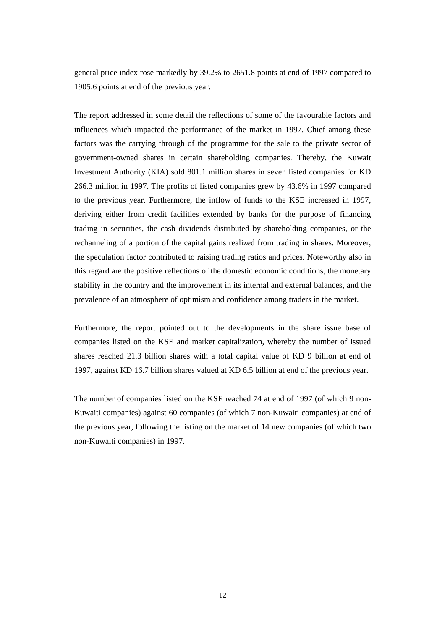general price index rose markedly by 39.2% to 2651.8 points at end of 1997 compared to 1905.6 points at end of the previous year.

The report addressed in some detail the reflections of some of the favourable factors and influences which impacted the performance of the market in 1997. Chief among these factors was the carrying through of the programme for the sale to the private sector of government-owned shares in certain shareholding companies. Thereby, the Kuwait Investment Authority (KIA) sold 801.1 million shares in seven listed companies for KD 266.3 million in 1997. The profits of listed companies grew by 43.6% in 1997 compared to the previous year. Furthermore, the inflow of funds to the KSE increased in 1997, deriving either from credit facilities extended by banks for the purpose of financing trading in securities, the cash dividends distributed by shareholding companies, or the rechanneling of a portion of the capital gains realized from trading in shares. Moreover, the speculation factor contributed to raising trading ratios and prices. Noteworthy also in this regard are the positive reflections of the domestic economic conditions, the monetary stability in the country and the improvement in its internal and external balances, and the prevalence of an atmosphere of optimism and confidence among traders in the market.

Furthermore, the report pointed out to the developments in the share issue base of companies listed on the KSE and market capitalization, whereby the number of issued shares reached 21.3 billion shares with a total capital value of KD 9 billion at end of 1997, against KD 16.7 billion shares valued at KD 6.5 billion at end of the previous year.

The number of companies listed on the KSE reached 74 at end of 1997 (of which 9 non-Kuwaiti companies) against 60 companies (of which 7 non-Kuwaiti companies) at end of the previous year, following the listing on the market of 14 new companies (of which two non-Kuwaiti companies) in 1997.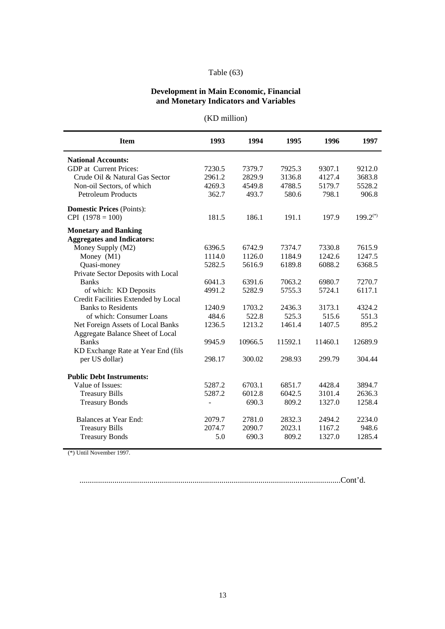# Table (63)

### **Development in Main Economic, Financial and Monetary Indicators and Variables**

|  | (KD million) |
|--|--------------|
|  |              |

| <b>Item</b>                         | 1993   | 1994    | 1995    | 1996    | 1997          |
|-------------------------------------|--------|---------|---------|---------|---------------|
| <b>National Accounts:</b>           |        |         |         |         |               |
| GDP at Current Prices:              | 7230.5 | 7379.7  | 7925.3  | 9307.1  | 9212.0        |
| Crude Oil & Natural Gas Sector      | 2961.2 | 2829.9  | 3136.8  | 4127.4  | 3683.8        |
| Non-oil Sectors, of which           | 4269.3 | 4549.8  | 4788.5  | 5179.7  | 5528.2        |
| <b>Petroleum Products</b>           | 362.7  | 493.7   | 580.6   | 798.1   | 906.8         |
| <b>Domestic Prices (Points):</b>    |        |         |         |         |               |
| $CPI$ (1978 = 100)                  | 181.5  | 186.1   | 191.1   | 197.9   | $199.2^{(*)}$ |
| <b>Monetary and Banking</b>         |        |         |         |         |               |
| <b>Aggregates and Indicators:</b>   |        |         |         |         |               |
| Money Supply (M2)                   | 6396.5 | 6742.9  | 7374.7  | 7330.8  | 7615.9        |
| Money (M1)                          | 1114.0 | 1126.0  | 1184.9  | 1242.6  | 1247.5        |
| Quasi-money                         | 5282.5 | 5616.9  | 6189.8  | 6088.2  | 6368.5        |
| Private Sector Deposits with Local  |        |         |         |         |               |
| <b>Banks</b>                        | 6041.3 | 6391.6  | 7063.2  | 6980.7  | 7270.7        |
| of which: KD Deposits               | 4991.2 | 5282.9  | 5755.3  | 5724.1  | 6117.1        |
| Credit Facilities Extended by Local |        |         |         |         |               |
| <b>Banks to Residents</b>           | 1240.9 | 1703.2  | 2436.3  | 3173.1  | 4324.2        |
| of which: Consumer Loans            | 484.6  | 522.8   | 525.3   | 515.6   | 551.3         |
| Net Foreign Assets of Local Banks   | 1236.5 | 1213.2  | 1461.4  | 1407.5  | 895.2         |
| Aggregate Balance Sheet of Local    |        |         |         |         |               |
| <b>Banks</b>                        | 9945.9 | 10966.5 | 11592.1 | 11460.1 | 12689.9       |
| KD Exchange Rate at Year End (fils  |        |         |         |         |               |
| per US dollar)                      | 298.17 | 300.02  | 298.93  | 299.79  | 304.44        |
| <b>Public Debt Instruments:</b>     |        |         |         |         |               |
| Value of Issues:                    | 5287.2 | 6703.1  | 6851.7  | 4428.4  | 3894.7        |
| <b>Treasury Bills</b>               | 5287.2 | 6012.8  | 6042.5  | 3101.4  | 2636.3        |
| <b>Treasury Bonds</b>               |        | 690.3   | 809.2   | 1327.0  | 1258.4        |
|                                     |        |         |         |         |               |
| <b>Balances at Year End:</b>        | 2079.7 | 2781.0  | 2832.3  | 2494.2  | 2234.0        |
| <b>Treasury Bills</b>               | 2074.7 | 2090.7  | 2023.1  | 1167.2  | 948.6         |
| <b>Treasury Bonds</b>               | 5.0    | 690.3   | 809.2   | 1327.0  | 1285.4        |
|                                     |        |         |         |         |               |

(\*) Until November 1997.

...............................................................................................................................Cont'd.